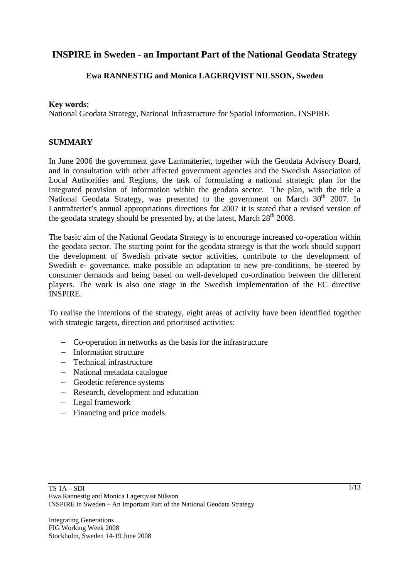# **INSPIRE in Sweden - an Important Part of the National Geodata Strategy**

# **Ewa RANNESTIG and Monica LAGERQVIST NILSSON, Sweden**

#### **Key words**:

National Geodata Strategy, National Infrastructure for Spatial Information, INSPIRE

#### **SUMMARY**

In June 2006 the government gave Lantmäteriet, together with the Geodata Advisory Board, and in consultation with other affected government agencies and the Swedish Association of Local Authorities and Regions, the task of formulating a national strategic plan for the integrated provision of information within the geodata sector. The plan, with the title a National Geodata Strategy, was presented to the government on March  $30<sup>th</sup>$  2007. In Lantmäteriet's annual appropriations directions for 2007 it is stated that a revised version of the geodata strategy should be presented by, at the latest, March  $28<sup>th</sup> 2008$ .

The basic aim of the National Geodata Strategy is to encourage increased co-operation within the geodata sector. The starting point for the geodata strategy is that the work should support the development of Swedish private sector activities, contribute to the development of Swedish e- governance, make possible an adaptation to new pre-conditions, be steered by consumer demands and being based on well-developed co-ordination between the different players. The work is also one stage in the Swedish implementation of the EC directive INSPIRE.

To realise the intentions of the strategy, eight areas of activity have been identified together with strategic targets, direction and prioritised activities:

- − Co-operation in networks as the basis for the infrastructure
- − Information structure
- − Technical infrastructure
- − National metadata catalogue
- − Geodetic reference systems
- − Research, development and education
- − Legal framework
- − Financing and price models.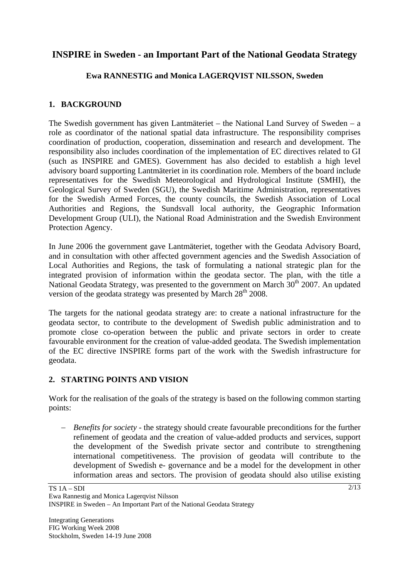# **INSPIRE in Sweden - an Important Part of the National Geodata Strategy**

# **Ewa RANNESTIG and Monica LAGERQVIST NILSSON, Sweden**

## **1. BACKGROUND**

The Swedish government has given Lantmäteriet – the National Land Survey of Sweden – a role as coordinator of the national spatial data infrastructure. The responsibility comprises coordination of production, cooperation, dissemination and research and development. The responsibility also includes coordination of the implementation of EC directives related to GI (such as INSPIRE and GMES). Government has also decided to establish a high level advisory board supporting Lantmäteriet in its coordination role. Members of the board include representatives for the Swedish Meteorological and Hydrological Institute (SMHI), the Geological Survey of Sweden (SGU), the Swedish Maritime Administration, representatives for the Swedish Armed Forces, the county councils, the Swedish Association of Local Authorities and Regions, the Sundsvall local authority, the Geographic Information Development Group (ULI), the National Road Administration and the Swedish Environment Protection Agency.

In June 2006 the government gave Lantmäteriet, together with the Geodata Advisory Board, and in consultation with other affected government agencies and the Swedish Association of Local Authorities and Regions, the task of formulating a national strategic plan for the integrated provision of information within the geodata sector. The plan, with the title a National Geodata Strategy, was presented to the government on March 30<sup>th</sup> 2007. An updated version of the geodata strategy was presented by March  $28<sup>th</sup>$  2008.

The targets for the national geodata strategy are: to create a national infrastructure for the geodata sector, to contribute to the development of Swedish public administration and to promote close co-operation between the public and private sectors in order to create favourable environment for the creation of value-added geodata. The Swedish implementation of the EC directive INSPIRE forms part of the work with the Swedish infrastructure for geodata.

# **2. STARTING POINTS AND VISION**

Work for the realisation of the goals of the strategy is based on the following common starting points:

− *Benefits for society -* the strategy should create favourable preconditions for the further refinement of geodata and the creation of value-added products and services, support the development of the Swedish private sector and contribute to strengthening international competitiveness. The provision of geodata will contribute to the development of Swedish e- governance and be a model for the development in other information areas and sectors. The provision of geodata should also utilise existing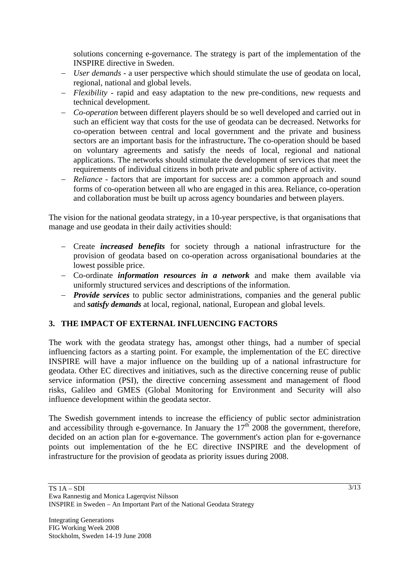solutions concerning e-governance. The strategy is part of the implementation of the INSPIRE directive in Sweden.

- − *User demands* a user perspective which should stimulate the use of geodata on local, regional, national and global levels.
- − *Flexibility* rapid and easy adaptation to the new pre-conditions, new requests and technical development.
- − *Co-operation* between different players should be so well developed and carried out in such an efficient way that costs for the use of geodata can be decreased. Networks for co-operation between central and local government and the private and business sectors are an important basis for the infrastructure**.** The co-operation should be based on voluntary agreements and satisfy the needs of local, regional and national applications. The networks should stimulate the development of services that meet the requirements of individual citizens in both private and public sphere of activity.
- − *Reliance* factors that are important for success are: a common approach and sound forms of co-operation between all who are engaged in this area. Reliance, co-operation and collaboration must be built up across agency boundaries and between players.

The vision for the national geodata strategy, in a 10-year perspective, is that organisations that manage and use geodata in their daily activities should:

- − Create *increased benefits* for society through a national infrastructure for the provision of geodata based on co-operation across organisational boundaries at the lowest possible price.
- − Co-ordinate *information resources in a network* and make them available via uniformly structured services and descriptions of the information.
- − *Provide services* to public sector administrations, companies and the general public and *satisfy demands* at local, regional, national, European and global levels.

# **3. THE IMPACT OF EXTERNAL INFLUENCING FACTORS**

The work with the geodata strategy has, amongst other things, had a number of special influencing factors as a starting point. For example, the implementation of the EC directive INSPIRE will have a major influence on the building up of a national infrastructure for geodata. Other EC directives and initiatives, such as the directive concerning reuse of public service information (PSI), the directive concerning assessment and management of flood risks, Galileo and GMES (Global Monitoring for Environment and Security will also influence development within the geodata sector.

The Swedish government intends to increase the efficiency of public sector administration and accessibility through e-governance. In January the  $17<sup>th</sup>$  2008 the government, therefore, decided on an action plan for e-governance. The government's action plan for e-governance points out implementation of the he EC directive INSPIRE and the development of infrastructure for the provision of geodata as priority issues during 2008.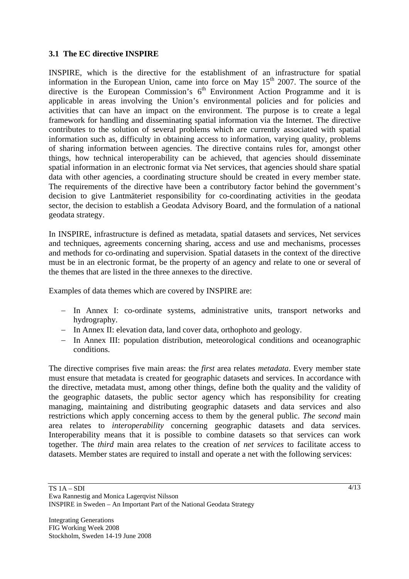### **3.1 The EC directive INSPIRE**

INSPIRE, which is the directive for the establishment of an infrastructure for spatial information in the European Union, came into force on May 15<sup>th</sup> 2007. The source of the directive is the European Commission's  $6<sup>th</sup>$  Environment Action Programme and it is applicable in areas involving the Union's environmental policies and for policies and activities that can have an impact on the environment. The purpose is to create a legal framework for handling and disseminating spatial information via the Internet. The directive contributes to the solution of several problems which are currently associated with spatial information such as, difficulty in obtaining access to information, varying quality, problems of sharing information between agencies. The directive contains rules for, amongst other things, how technical interoperability can be achieved, that agencies should disseminate spatial information in an electronic format via Net services, that agencies should share spatial data with other agencies, a coordinating structure should be created in every member state. The requirements of the directive have been a contributory factor behind the government's decision to give Lantmäteriet responsibility for co-coordinating activities in the geodata sector, the decision to establish a Geodata Advisory Board, and the formulation of a national geodata strategy.

In INSPIRE, infrastructure is defined as metadata, spatial datasets and services, Net services and techniques, agreements concerning sharing, access and use and mechanisms, processes and methods for co-ordinating and supervision. Spatial datasets in the context of the directive must be in an electronic format, be the property of an agency and relate to one or several of the themes that are listed in the three annexes to the directive.

Examples of data themes which are covered by INSPIRE are:

- − In Annex I: co-ordinate systems, administrative units, transport networks and hydrography.
- − In Annex II: elevation data, land cover data, orthophoto and geology.
- − In Annex III: population distribution, meteorological conditions and oceanographic conditions.

The directive comprises five main areas: the *first* area relates *metadata*. Every member state must ensure that metadata is created for geographic datasets and services. In accordance with the directive, metadata must, among other things, define both the quality and the validity of the geographic datasets, the public sector agency which has responsibility for creating managing, maintaining and distributing geographic datasets and data services and also restrictions which apply concerning access to them by the general public. *The second* main area relates to *interoperability* concerning geographic datasets and data services. Interoperability means that it is possible to combine datasets so that services can work together. The *third* main area relates to the creation of *net services* to facilitate access to datasets. Member states are required to install and operate a net with the following services: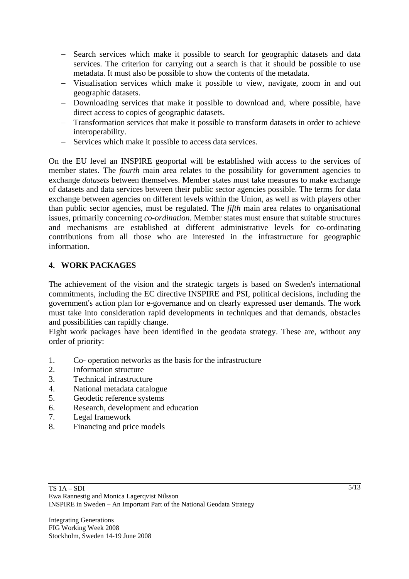- − Search services which make it possible to search for geographic datasets and data services. The criterion for carrying out a search is that it should be possible to use metadata. It must also be possible to show the contents of the metadata.
- − Visualisation services which make it possible to view, navigate, zoom in and out geographic datasets.
- − Downloading services that make it possible to download and, where possible, have direct access to copies of geographic datasets.
- − Transformation services that make it possible to transform datasets in order to achieve interoperability.
- − Services which make it possible to access data services.

On the EU level an INSPIRE geoportal will be established with access to the services of member states. The *fourth* main area relates to the possibility for government agencies to exchange *datasets* between themselves. Member states must take measures to make exchange of datasets and data services between their public sector agencies possible. The terms for data exchange between agencies on different levels within the Union, as well as with players other than public sector agencies, must be regulated. The *fifth* main area relates to organisational issues, primarily concerning *co-ordination*. Member states must ensure that suitable structures and mechanisms are established at different administrative levels for co-ordinating contributions from all those who are interested in the infrastructure for geographic information.

# **4. WORK PACKAGES**

The achievement of the vision and the strategic targets is based on Sweden's international commitments, including the EC directive INSPIRE and PSI, political decisions, including the government's action plan for e-governance and on clearly expressed user demands. The work must take into consideration rapid developments in techniques and that demands, obstacles and possibilities can rapidly change.

Eight work packages have been identified in the geodata strategy. These are, without any order of priority:

- 1. Co- operation networks as the basis for the infrastructure
- 2. Information structure
- 3. Technical infrastructure
- 4. National metadata catalogue
- 5. Geodetic reference systems
- 6. Research, development and education
- 7. Legal framework
- 8. Financing and price models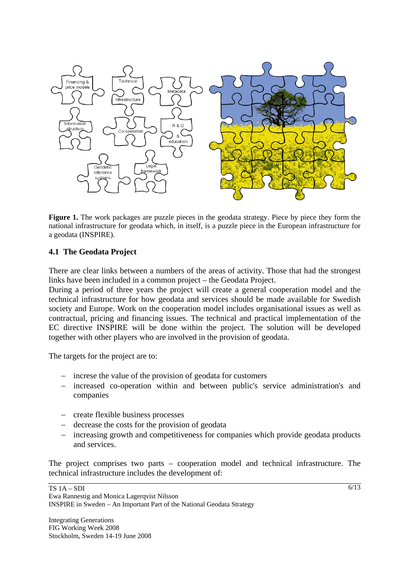

Figure 1. The work packages are puzzle pieces in the geodata strategy. Piece by piece they form the national infrastructure for geodata which, in itself, is a puzzle piece in the European infrastructure for a geodata (INSPIRE).

### **4.1 The Geodata Project**

There are clear links between a numbers of the areas of activity. Those that had the strongest links have been included in a common project – the Geodata Project.

During a period of three years the project will create a general cooperation model and the technical infrastructure for how geodata and services should be made available for Swedish society and Europe. Work on the cooperation model includes organisational issues as well as contractual, pricing and financing issues. The technical and practical implementation of the EC directive INSPIRE will be done within the project. The solution will be developed together with other players who are involved in the provision of geodata.

The targets for the project are to:

- − increse the value of the provision of geodata for customers
- − increased co-operation within and between public's service administration's and companies
- − create flexible business processes
- − decrease the costs for the provision of geodata
- − increasing growth and competitiveness for companies which provide geodata products and services.

The project comprises two parts – cooperation model and technical infrastructure. The technical infrastructure includes the development of: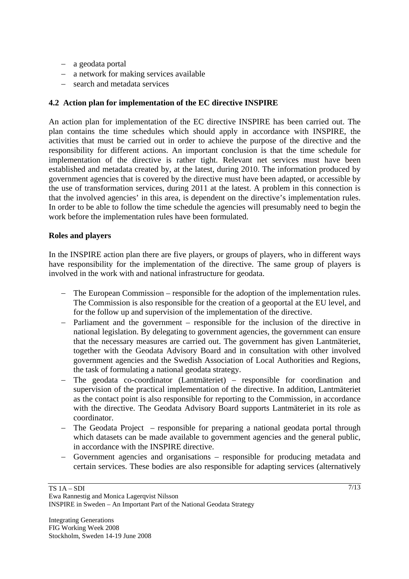- − a geodata portal
- − a network for making services available
- − search and metadata services

#### **4.2 Action plan for implementation of the EC directive INSPIRE**

An action plan for implementation of the EC directive INSPIRE has been carried out. The plan contains the time schedules which should apply in accordance with INSPIRE, the activities that must be carried out in order to achieve the purpose of the directive and the responsibility for different actions. An important conclusion is that the time schedule for implementation of the directive is rather tight. Relevant net services must have been established and metadata created by, at the latest, during 2010. The information produced by government agencies that is covered by the directive must have been adapted, or accessible by the use of transformation services, during 2011 at the latest. A problem in this connection is that the involved agencies' in this area, is dependent on the directive's implementation rules. In order to be able to follow the time schedule the agencies will presumably need to begin the work before the implementation rules have been formulated.

#### **Roles and players**

In the INSPIRE action plan there are five players, or groups of players, who in different ways have responsibility for the implementation of the directive. The same group of players is involved in the work with and national infrastructure for geodata.

- The European Commission responsible for the adoption of the implementation rules. The Commission is also responsible for the creation of a geoportal at the EU level, and for the follow up and supervision of the implementation of the directive.
- − Parliament and the government responsible for the inclusion of the directive in national legislation. By delegating to government agencies, the government can ensure that the necessary measures are carried out. The government has given Lantmäteriet, together with the Geodata Advisory Board and in consultation with other involved government agencies and the Swedish Association of Local Authorities and Regions, the task of formulating a national geodata strategy.
- − The geodata co-coordinator (Lantmäteriet) responsible for coordination and supervision of the practical implementation of the directive. In addition, Lantmäteriet as the contact point is also responsible for reporting to the Commission, in accordance with the directive. The Geodata Advisory Board supports Lantmäteriet in its role as coordinator.
- − The Geodata Project responsible for preparing a national geodata portal through which datasets can be made available to government agencies and the general public, in accordance with the INSPIRE directive.
- − Government agencies and organisations responsible for producing metadata and certain services. These bodies are also responsible for adapting services (alternatively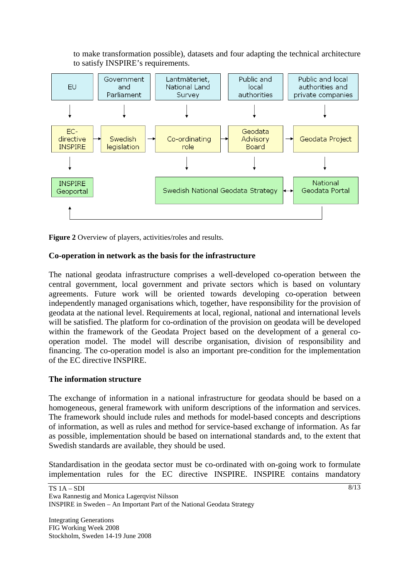to make transformation possible), datasets and four adapting the technical architecture to satisfy INSPIRE's requirements.



**Figure 2** Overview of players, activities/roles and results.

### **Co-operation in network as the basis for the infrastructure**

The national geodata infrastructure comprises a well-developed co-operation between the central government, local government and private sectors which is based on voluntary agreements. Future work will be oriented towards developing co-operation between independently managed organisations which, together, have responsibility for the provision of geodata at the national level. Requirements at local, regional, national and international levels will be satisfied. The platform for co-ordination of the provision on geodata will be developed within the framework of the Geodata Project based on the development of a general cooperation model. The model will describe organisation, division of responsibility and financing. The co-operation model is also an important pre-condition for the implementation of the EC directive INSPIRE.

### **The information structure**

The exchange of information in a national infrastructure for geodata should be based on a homogeneous, general framework with uniform descriptions of the information and services. The framework should include rules and methods for model-based concepts and descriptions of information, as well as rules and method for service-based exchange of information. As far as possible, implementation should be based on international standards and, to the extent that Swedish standards are available, they should be used.

Standardisation in the geodata sector must be co-ordinated with on-going work to formulate implementation rules for the EC directive INSPIRE. INSPIRE contains mandatory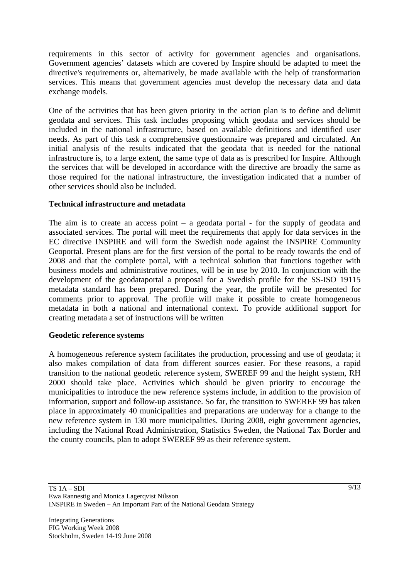requirements in this sector of activity for government agencies and organisations. Government agencies' datasets which are covered by Inspire should be adapted to meet the directive's requirements or, alternatively, be made available with the help of transformation services. This means that government agencies must develop the necessary data and data exchange models.

One of the activities that has been given priority in the action plan is to define and delimit geodata and services. This task includes proposing which geodata and services should be included in the national infrastructure, based on available definitions and identified user needs. As part of this task a comprehensive questionnaire was prepared and circulated. An initial analysis of the results indicated that the geodata that is needed for the national infrastructure is, to a large extent, the same type of data as is prescribed for Inspire. Although the services that will be developed in accordance with the directive are broadly the same as those required for the national infrastructure, the investigation indicated that a number of other services should also be included.

#### **Technical infrastructure and metadata**

The aim is to create an access point – a geodata portal - for the supply of geodata and associated services. The portal will meet the requirements that apply for data services in the EC directive INSPIRE and will form the Swedish node against the INSPIRE Community Geoportal. Present plans are for the first version of the portal to be ready towards the end of 2008 and that the complete portal, with a technical solution that functions together with business models and administrative routines, will be in use by 2010. In conjunction with the development of the geodataportal a proposal for a Swedish profile for the SS-ISO 19115 metadata standard has been prepared. During the year, the profile will be presented for comments prior to approval. The profile will make it possible to create homogeneous metadata in both a national and international context. To provide additional support for creating metadata a set of instructions will be written

## **Geodetic reference systems**

A homogeneous reference system facilitates the production, processing and use of geodata; it also makes compilation of data from different sources easier. For these reasons, a rapid transition to the national geodetic reference system, SWEREF 99 and the height system, RH 2000 should take place. Activities which should be given priority to encourage the municipalities to introduce the new reference systems include, in addition to the provision of information, support and follow-up assistance. So far, the transition to SWEREF 99 has taken place in approximately 40 municipalities and preparations are underway for a change to the new reference system in 130 more municipalities. During 2008, eight government agencies, including the National Road Administration, Statistics Sweden, the National Tax Border and the county councils, plan to adopt SWEREF 99 as their reference system.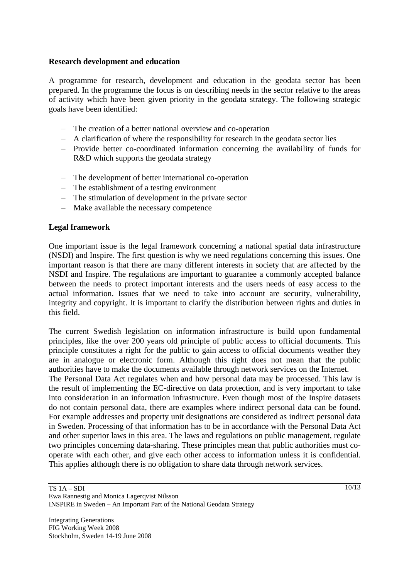#### **Research development and education**

A programme for research, development and education in the geodata sector has been prepared. In the programme the focus is on describing needs in the sector relative to the areas of activity which have been given priority in the geodata strategy. The following strategic goals have been identified:

- − The creation of a better national overview and co-operation
- − A clarification of where the responsibility for research in the geodata sector lies
- − Provide better co-coordinated information concerning the availability of funds for R&D which supports the geodata strategy
- − The development of better international co-operation
- − The establishment of a testing environment
- − The stimulation of development in the private sector
- − Make available the necessary competence

#### **Legal framework**

One important issue is the legal framework concerning a national spatial data infrastructure (NSDI) and Inspire. The first question is why we need regulations concerning this issues. One important reason is that there are many different interests in society that are affected by the NSDI and Inspire. The regulations are important to guarantee a commonly accepted balance between the needs to protect important interests and the users needs of easy access to the actual information. Issues that we need to take into account are security, vulnerability, integrity and copyright. It is important to clarify the distribution between rights and duties in this field.

The current Swedish legislation on information infrastructure is build upon fundamental principles, like the over 200 years old principle of public access to official documents. This principle constitutes a right for the public to gain access to official documents weather they are in analogue or electronic form. Although this right does not mean that the public authorities have to make the documents available through network services on the Internet. The Personal Data Act regulates when and how personal data may be processed. This law is the result of implementing the EC-directive on data protection, and is very important to take into consideration in an information infrastructure. Even though most of the Inspire datasets do not contain personal data, there are examples where indirect personal data can be found. For example addresses and property unit designations are considered as indirect personal data in Sweden. Processing of that information has to be in accordance with the Personal Data Act and other superior laws in this area. The laws and regulations on public management, regulate two principles concerning data-sharing. These principles mean that public authorities must cooperate with each other, and give each other access to information unless it is confidential. This applies although there is no obligation to share data through network services.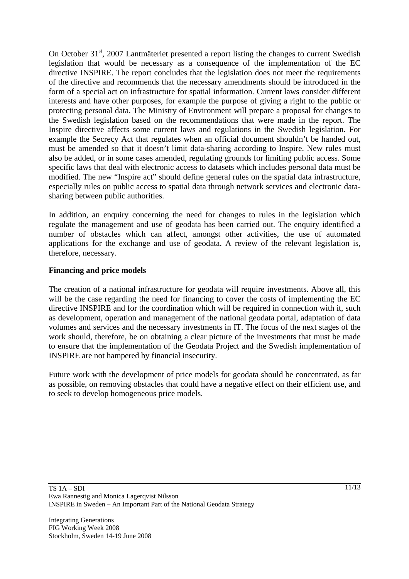On October 31<sup>st</sup>, 2007 Lantmäteriet presented a report listing the changes to current Swedish legislation that would be necessary as a consequence of the implementation of the EC directive INSPIRE. The report concludes that the legislation does not meet the requirements of the directive and recommends that the necessary amendments should be introduced in the form of a special act on infrastructure for spatial information. Current laws consider different interests and have other purposes, for example the purpose of giving a right to the public or protecting personal data. The Ministry of Environment will prepare a proposal for changes to the Swedish legislation based on the recommendations that were made in the report. The Inspire directive affects some current laws and regulations in the Swedish legislation. For example the Secrecy Act that regulates when an official document shouldn't be handed out, must be amended so that it doesn't limit data-sharing according to Inspire. New rules must also be added, or in some cases amended, regulating grounds for limiting public access. Some specific laws that deal with electronic access to datasets which includes personal data must be modified. The new "Inspire act" should define general rules on the spatial data infrastructure, especially rules on public access to spatial data through network services and electronic datasharing between public authorities.

In addition, an enquiry concerning the need for changes to rules in the legislation which regulate the management and use of geodata has been carried out. The enquiry identified a number of obstacles which can affect, amongst other activities, the use of automated applications for the exchange and use of geodata. A review of the relevant legislation is, therefore, necessary.

### **Financing and price models**

The creation of a national infrastructure for geodata will require investments. Above all, this will be the case regarding the need for financing to cover the costs of implementing the EC directive INSPIRE and for the coordination which will be required in connection with it, such as development, operation and management of the national geodata portal, adaptation of data volumes and services and the necessary investments in IT. The focus of the next stages of the work should, therefore, be on obtaining a clear picture of the investments that must be made to ensure that the implementation of the Geodata Project and the Swedish implementation of INSPIRE are not hampered by financial insecurity.

Future work with the development of price models for geodata should be concentrated, as far as possible, on removing obstacles that could have a negative effect on their efficient use, and to seek to develop homogeneous price models.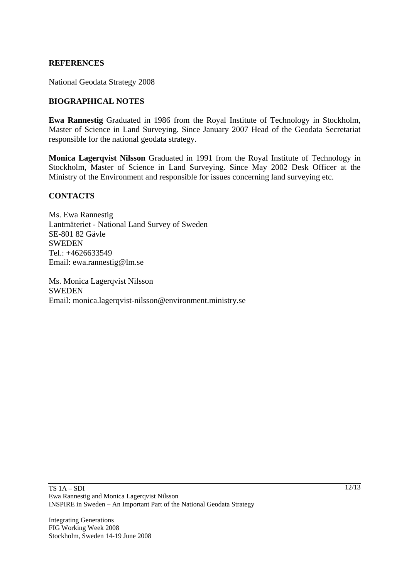#### **REFERENCES**

National Geodata Strategy 2008

#### **BIOGRAPHICAL NOTES**

**Ewa Rannestig** Graduated in 1986 from the Royal Institute of Technology in Stockholm, Master of Science in Land Surveying. Since January 2007 Head of the Geodata Secretariat responsible for the national geodata strategy.

**Monica Lagerqvist Nilsson** Graduated in 1991 from the Royal Institute of Technology in Stockholm, Master of Science in Land Surveying. Since May 2002 Desk Officer at the Ministry of the Environment and responsible for issues concerning land surveying etc.

#### **CONTACTS**

Ms. Ewa Rannestig Lantmäteriet - National Land Survey of Sweden SE-801 82 Gävle SWEDEN Tel.: +4626633549 Email: ewa.rannestig@lm.se

Ms. Monica Lagerqvist Nilsson **SWEDEN** Email: monica.lagerqvist-nilsson@environment.ministry.se